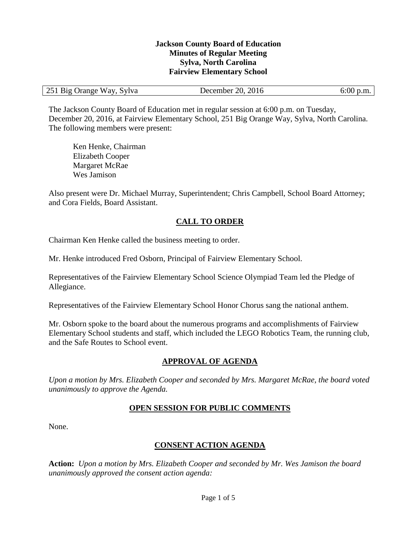#### **Jackson County Board of Education Minutes of Regular Meeting Sylva, North Carolina Fairview Elementary School**

| 251<br>Big Orange Way, Sylva | 2016<br>20.7<br>December | 6:00<br>$\mathfrak{b}$ .m. |
|------------------------------|--------------------------|----------------------------|
|------------------------------|--------------------------|----------------------------|

The Jackson County Board of Education met in regular session at 6:00 p.m. on Tuesday, December 20, 2016, at Fairview Elementary School, 251 Big Orange Way, Sylva, North Carolina. The following members were present:

Ken Henke, Chairman Elizabeth Cooper Margaret McRae Wes Jamison

Also present were Dr. Michael Murray, Superintendent; Chris Campbell, School Board Attorney; and Cora Fields, Board Assistant.

### **CALL TO ORDER**

Chairman Ken Henke called the business meeting to order.

Mr. Henke introduced Fred Osborn, Principal of Fairview Elementary School.

Representatives of the Fairview Elementary School Science Olympiad Team led the Pledge of Allegiance.

Representatives of the Fairview Elementary School Honor Chorus sang the national anthem.

Mr. Osborn spoke to the board about the numerous programs and accomplishments of Fairview Elementary School students and staff, which included the LEGO Robotics Team, the running club, and the Safe Routes to School event.

## **APPROVAL OF AGENDA**

*Upon a motion by Mrs. Elizabeth Cooper and seconded by Mrs. Margaret McRae, the board voted unanimously to approve the Agenda.*

### **OPEN SESSION FOR PUBLIC COMMENTS**

None.

### **CONSENT ACTION AGENDA**

**Action:** *Upon a motion by Mrs. Elizabeth Cooper and seconded by Mr. Wes Jamison the board unanimously approved the consent action agenda:*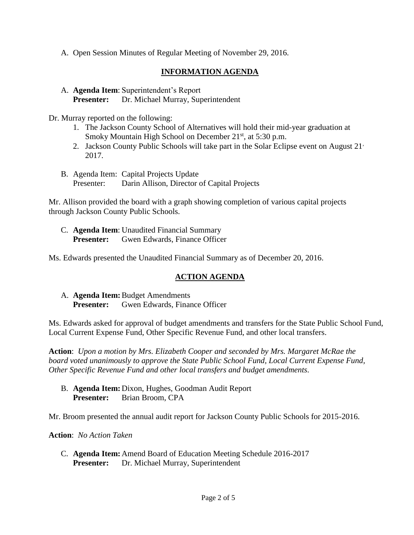A. Open Session Minutes of Regular Meeting of November 29, 2016.

# **INFORMATION AGENDA**

A. **Agenda Item**: Superintendent's Report **Presenter:** Dr. Michael Murray, Superintendent

Dr. Murray reported on the following:

- 1. The Jackson County School of Alternatives will hold their mid-year graduation at Smoky Mountain High School on December 21<sup>st</sup>, at 5:30 p.m.
- 2. Jackson County Public Schools will take part in the Solar Eclipse event on August 21, 2017.
- B. Agenda Item: Capital Projects Update Presenter: Darin Allison, Director of Capital Projects

Mr. Allison provided the board with a graph showing completion of various capital projects through Jackson County Public Schools.

C. **Agenda Item**: Unaudited Financial Summary **Presenter:** Gwen Edwards, Finance Officer

Ms. Edwards presented the Unaudited Financial Summary as of December 20, 2016.

## **ACTION AGENDA**

A. **Agenda Item:**Budget Amendments **Presenter:** Gwen Edwards, Finance Officer

Ms. Edwards asked for approval of budget amendments and transfers for the State Public School Fund, Local Current Expense Fund, Other Specific Revenue Fund, and other local transfers.

**Action**: *Upon a motion by Mrs. Elizabeth Cooper and seconded by Mrs. Margaret McRae the board voted unanimously to approve the State Public School Fund, Local Current Expense Fund, Other Specific Revenue Fund and other local transfers and budget amendments.*

B. **Agenda Item:** Dixon, Hughes, Goodman Audit Report **Presenter:** Brian Broom, CPA

Mr. Broom presented the annual audit report for Jackson County Public Schools for 2015-2016.

**Action**: *No Action Taken*

C. **Agenda Item:** Amend Board of Education Meeting Schedule 2016-2017 **Presenter:** Dr. Michael Murray, Superintendent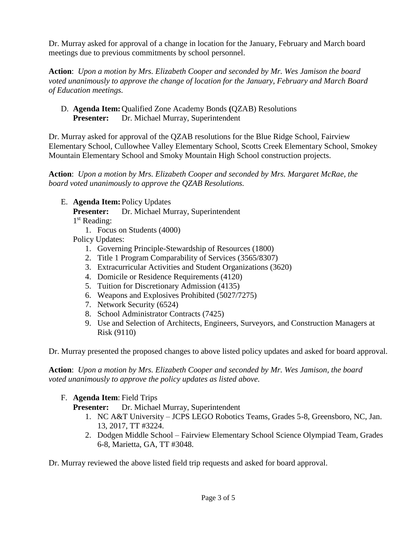Dr. Murray asked for approval of a change in location for the January, February and March board meetings due to previous commitments by school personnel.

**Action**: *Upon a motion by Mrs. Elizabeth Cooper and seconded by Mr. Wes Jamison the board voted unanimously to approve the change of location for the January, February and March Board of Education meetings.*

D. **Agenda Item:** Qualified Zone Academy Bonds **(**QZAB) Resolutions **Presenter:** Dr. Michael Murray, Superintendent

Dr. Murray asked for approval of the QZAB resolutions for the Blue Ridge School, Fairview Elementary School, Cullowhee Valley Elementary School, Scotts Creek Elementary School, Smokey Mountain Elementary School and Smoky Mountain High School construction projects.

**Action**: *Upon a motion by Mrs. Elizabeth Cooper and seconded by Mrs. Margaret McRae, the board voted unanimously to approve the QZAB Resolutions.*

E. **Agenda Item:** Policy Updates

**Presenter:** Dr. Michael Murray, Superintendent

1 st Reading:

1. Focus on Students (4000)

Policy Updates:

- 1. Governing Principle-Stewardship of Resources (1800)
- 2. Title 1 Program Comparability of Services (3565/8307)
- 3. Extracurricular Activities and Student Organizations (3620)
- 4. Domicile or Residence Requirements (4120)
- 5. Tuition for Discretionary Admission (4135)
- 6. Weapons and Explosives Prohibited (5027/7275)
- 7. Network Security (6524)
- 8. School Administrator Contracts (7425)
- 9. Use and Selection of Architects, Engineers, Surveyors, and Construction Managers at Risk (9110)

Dr. Murray presented the proposed changes to above listed policy updates and asked for board approval.

**Action**: *Upon a motion by Mrs. Elizabeth Cooper and seconded by Mr. Wes Jamison, the board voted unanimously to approve the policy updates as listed above.*

F. **Agenda Item**: Field Trips

**Presenter:** Dr. Michael Murray, Superintendent

- 1. NC A&T University JCPS LEGO Robotics Teams, Grades 5-8, Greensboro, NC, Jan. 13, 2017, TT #3224.
- 2. Dodgen Middle School Fairview Elementary School Science Olympiad Team, Grades 6-8, Marietta, GA, TT #3048.

Dr. Murray reviewed the above listed field trip requests and asked for board approval.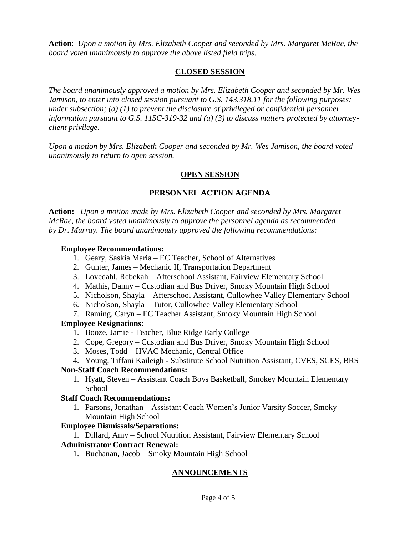**Action**: *Upon a motion by Mrs. Elizabeth Cooper and seconded by Mrs. Margaret McRae, the board voted unanimously to approve the above listed field trips.*

### **CLOSED SESSION**

*The board unanimously approved a motion by Mrs. Elizabeth Cooper and seconded by Mr. Wes Jamison, to enter into closed session pursuant to G.S. 143.318.11 for the following purposes: under subsection; (a) (1) to prevent the disclosure of privileged or confidential personnel information pursuant to G.S. 115C-319-32 and (a) (3) to discuss matters protected by attorneyclient privilege.* 

*Upon a motion by Mrs. Elizabeth Cooper and seconded by Mr. Wes Jamison, the board voted unanimously to return to open session.*

### **OPEN SESSION**

# **PERSONNEL ACTION AGENDA**

**Action:** *Upon a motion made by Mrs. Elizabeth Cooper and seconded by Mrs. Margaret McRae, the board voted unanimously to approve the personnel agenda as recommended by Dr. Murray. The board unanimously approved the following recommendations:*

#### **Employee Recommendations:**

- 1. Geary, Saskia Maria EC Teacher, School of Alternatives
- 2. Gunter, James Mechanic II, Transportation Department
- 3. Lovedahl, Rebekah Afterschool Assistant, Fairview Elementary School
- 4. Mathis, Danny Custodian and Bus Driver, Smoky Mountain High School
- 5. Nicholson, Shayla Afterschool Assistant, Cullowhee Valley Elementary School
- 6. Nicholson, Shayla Tutor, Cullowhee Valley Elementary School
- 7. Raming, Caryn EC Teacher Assistant, Smoky Mountain High School

## **Employee Resignations:**

- 1. Booze, Jamie Teacher, Blue Ridge Early College
- 2. Cope, Gregory Custodian and Bus Driver, Smoky Mountain High School
- 3. Moses, Todd HVAC Mechanic, Central Office
- 4. Young, Tiffani Kaileigh Substitute School Nutrition Assistant, CVES, SCES, BRS

### **Non-Staff Coach Recommendations:**

1. Hyatt, Steven – Assistant Coach Boys Basketball, Smokey Mountain Elementary School

## **Staff Coach Recommendations:**

1. Parsons, Jonathan – Assistant Coach Women's Junior Varsity Soccer, Smoky Mountain High School

## **Employee Dismissals/Separations:**

1. Dillard, Amy – School Nutrition Assistant, Fairview Elementary School

## **Administrator Contract Renewal:**

1. Buchanan, Jacob – Smoky Mountain High School

## **ANNOUNCEMENTS**